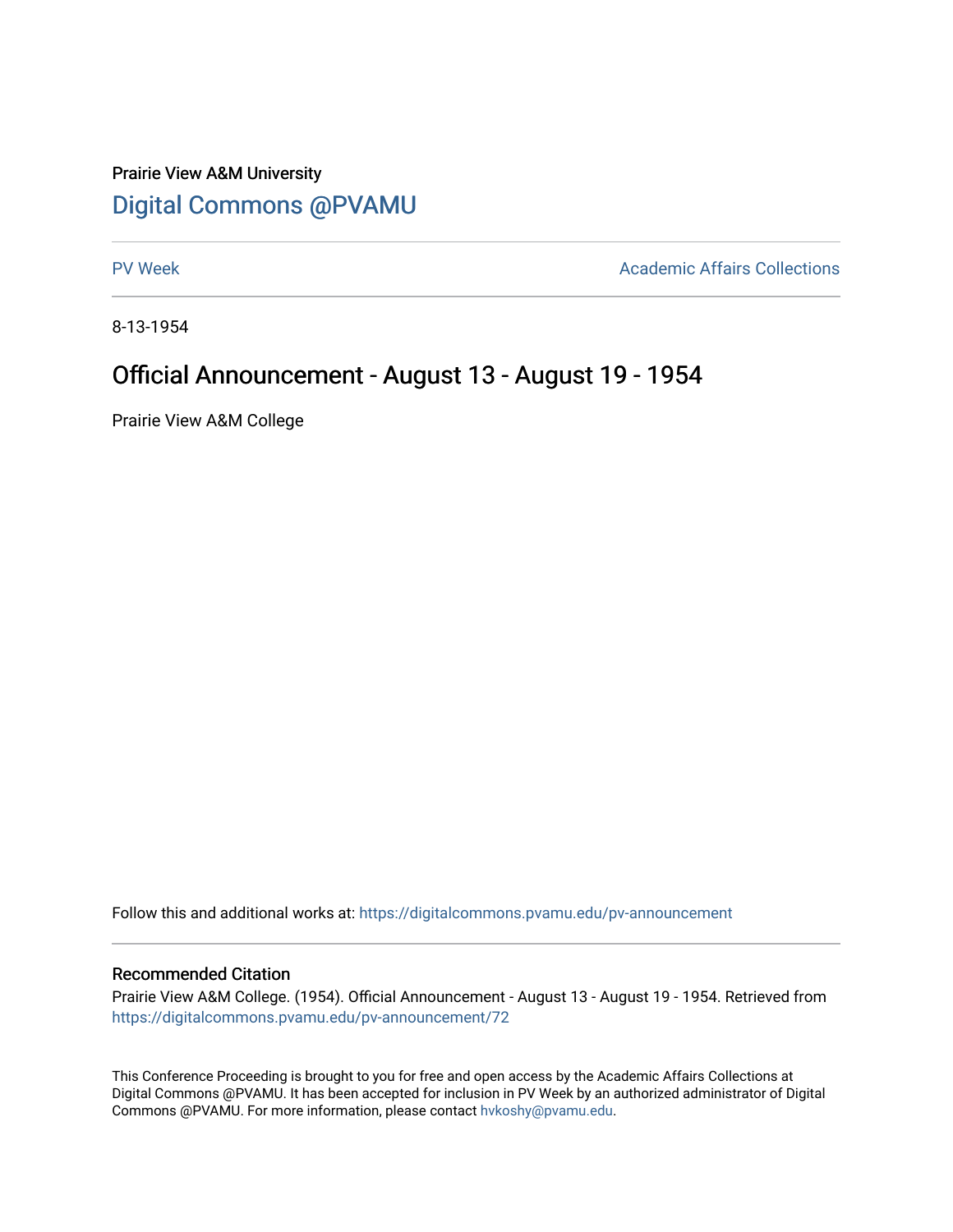## Prairie View A&M University [Digital Commons @PVAMU](https://digitalcommons.pvamu.edu/)

[PV Week](https://digitalcommons.pvamu.edu/pv-announcement) **Academic Affairs Collections** 

8-13-1954

## Official Announcement - August 13 - August 19 - 1954

Prairie View A&M College

Follow this and additional works at: [https://digitalcommons.pvamu.edu/pv-announcement](https://digitalcommons.pvamu.edu/pv-announcement?utm_source=digitalcommons.pvamu.edu%2Fpv-announcement%2F72&utm_medium=PDF&utm_campaign=PDFCoverPages) 

## Recommended Citation

Prairie View A&M College. (1954). Official Announcement - August 13 - August 19 - 1954. Retrieved from [https://digitalcommons.pvamu.edu/pv-announcement/72](https://digitalcommons.pvamu.edu/pv-announcement/72?utm_source=digitalcommons.pvamu.edu%2Fpv-announcement%2F72&utm_medium=PDF&utm_campaign=PDFCoverPages)

This Conference Proceeding is brought to you for free and open access by the Academic Affairs Collections at Digital Commons @PVAMU. It has been accepted for inclusion in PV Week by an authorized administrator of Digital Commons @PVAMU. For more information, please contact [hvkoshy@pvamu.edu.](mailto:hvkoshy@pvamu.edu)